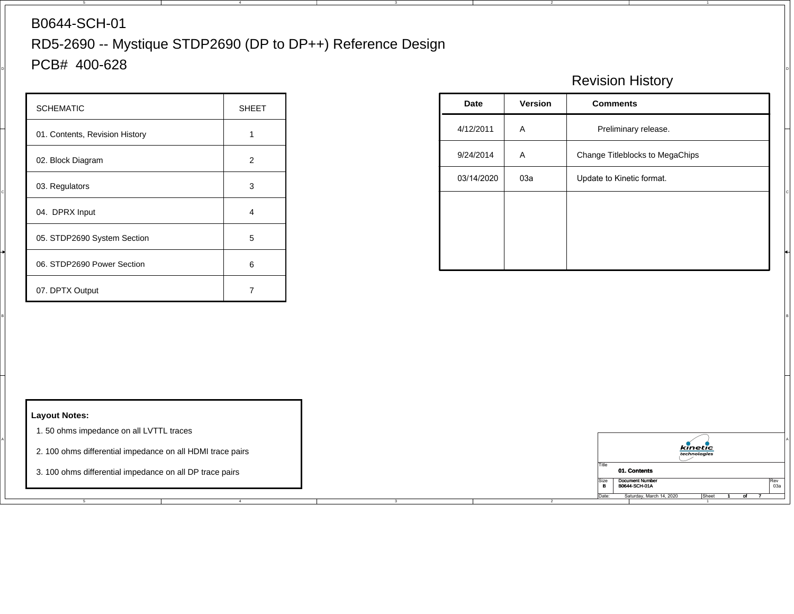## B0644-SCH-01

D

 $\blacksquare$  PCB# 400-628  $\blacksquare$ RD5-2690 -- Mystique STDP2690 (DP to DP++) Reference Design

4

3

4

| <b>SCHEMATIC</b>               | <b>SHEET</b>   |
|--------------------------------|----------------|
| 01. Contents, Revision History |                |
| 02. Block Diagram              | $\overline{2}$ |
| 03. Regulators                 | 3              |
| 04. DPRX Input                 | 4              |
| 05. STDP2690 System Section    | 5              |
| 06. STDP2690 Power Section     | 6              |
| 07. DPTX Output                |                |

## Revision History

| Preliminary release.<br>4/12/2011<br>A<br>01. Contents, Revision History<br>$\overline{1}$<br>Change Titleblocks to MegaChips<br>9/24/2014<br>$\mathsf{A}$<br>02. Block Diagram<br>$\overline{2}$<br>03a<br>Update to Kinetic format.<br>03/14/2020<br>03. Regulators<br>3<br>04. DPRX Input<br>$\overline{4}$<br>05. STDP2690 System Section<br>$\sqrt{5}$ |
|-------------------------------------------------------------------------------------------------------------------------------------------------------------------------------------------------------------------------------------------------------------------------------------------------------------------------------------------------------------|
|                                                                                                                                                                                                                                                                                                                                                             |
|                                                                                                                                                                                                                                                                                                                                                             |
|                                                                                                                                                                                                                                                                                                                                                             |
|                                                                                                                                                                                                                                                                                                                                                             |
|                                                                                                                                                                                                                                                                                                                                                             |
| 06. STDP2690 Power Section<br>6                                                                                                                                                                                                                                                                                                                             |
| 07. DPTX Output<br>$\overline{7}$                                                                                                                                                                                                                                                                                                                           |

 $\overline{ }$ 



## **Layout Notes:**

- 1. 50 ohms impedance on all LVTTL traces
- 2. 100 ohms differential impedance on all HDMI trace pairs
- 3. 100 ohms differential impedance on all DP trace pairs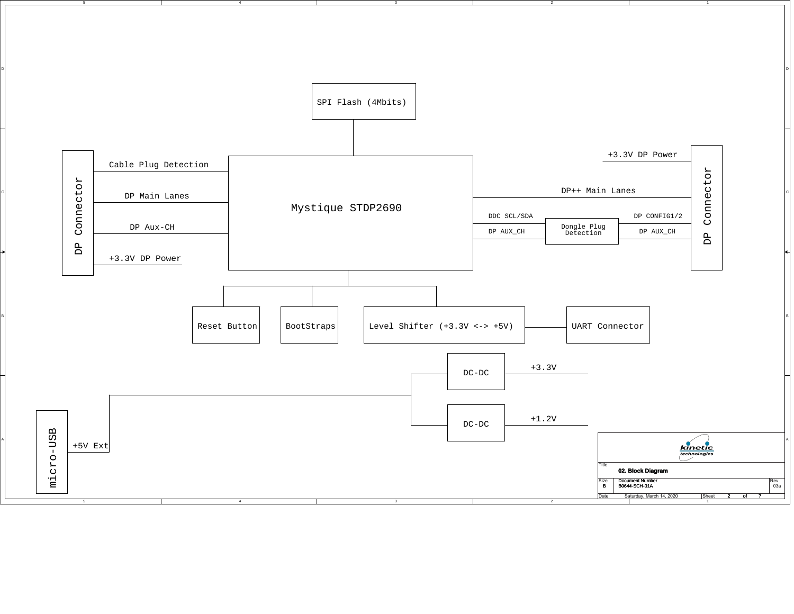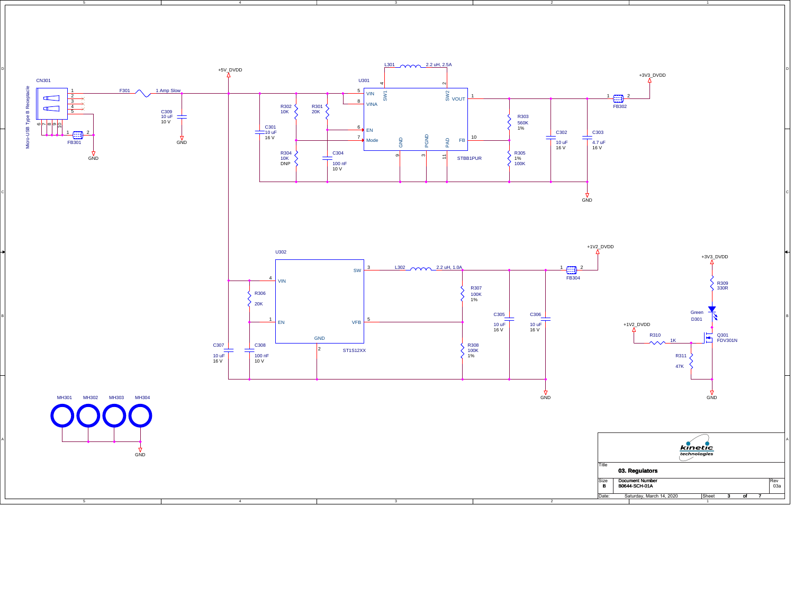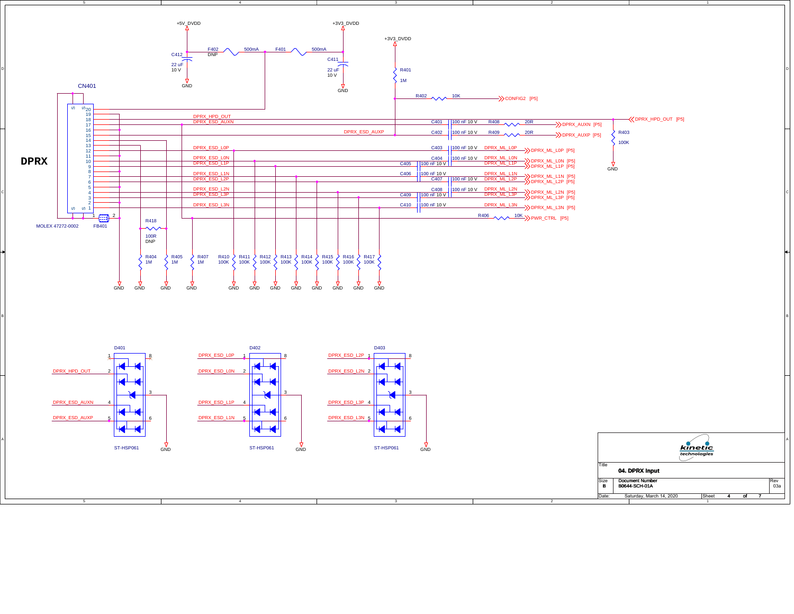

3

4

 $\overline{2}$ 

 $\overline{1}$ Saturday, March 14, 2020 Sheet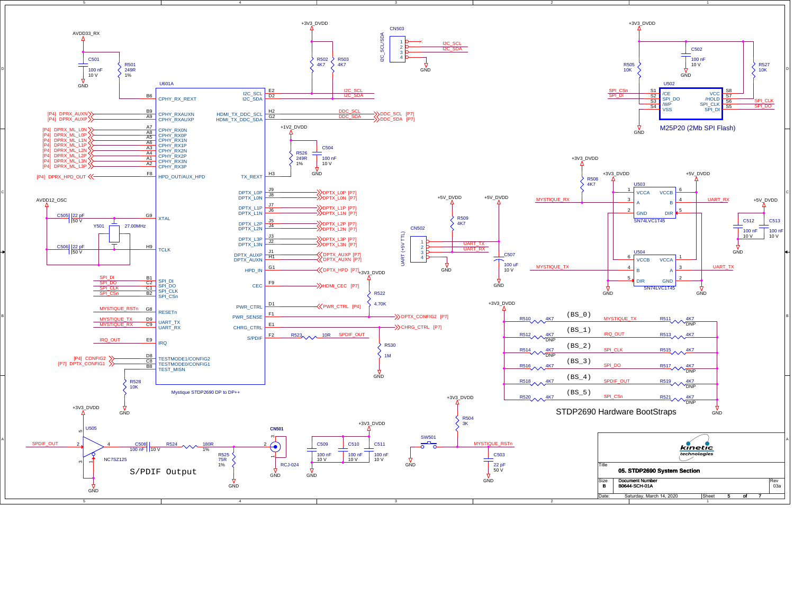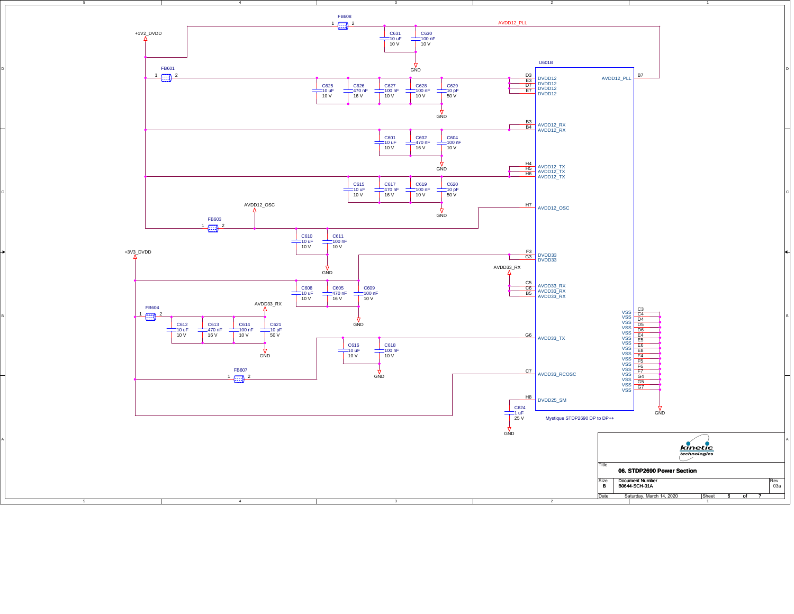

D

C

A